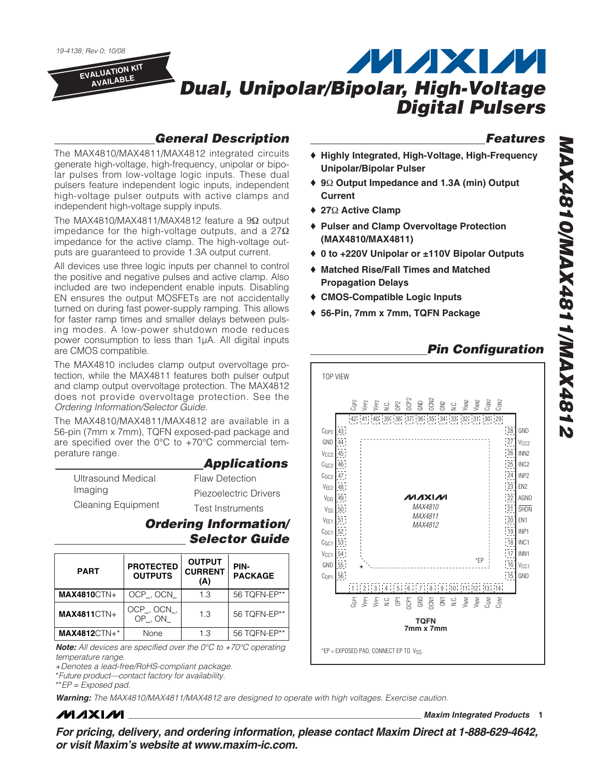

#### **General Description**

**Features**

- ♦ **Highly Integrated, High-Voltage, High-Frequency Unipolar/Bipolar Pulser**
- ♦ **9**Ω **Output Impedance and 1.3A (min) Output Current**
- ♦ **27**Ω **Active Clamp**
- ♦ **Pulser and Clamp Overvoltage Protection (MAX4810/MAX4811)**
- ♦ **0 to +220V Unipolar or ±110V Bipolar Outputs**
- ♦ **Matched Rise/Fall Times and Matched Propagation Delays**
- ♦ **CMOS-Compatible Logic Inputs**
- ♦ **56-Pin, 7mm x 7mm, TQFN Package**

### **Pin Configuration**



The MAX4810/MAX4811/MAX4812 integrated circuits generate high-voltage, high-frequency, unipolar or bipolar pulses from low-voltage logic inputs. These dual pulsers feature independent logic inputs, independent high-voltage pulser outputs with active clamps and independent high-voltage supply inputs.

The MAX4810/MAX4811/MAX4812 feature a 9Ω output impedance for the high-voltage outputs, and a  $27\Omega$ impedance for the active clamp. The high-voltage outputs are guaranteed to provide 1.3A output current.

All devices use three logic inputs per channel to control the positive and negative pulses and active clamp. Also included are two independent enable inputs. Disabling EN ensures the output MOSFETs are not accidentally turned on during fast power-supply ramping. This allows for faster ramp times and smaller delays between pulsing modes. A low-power shutdown mode reduces power consumption to less than 1µA. All digital inputs are CMOS compatible.

The MAX4810 includes clamp output overvoltage protection, while the MAX4811 features both pulser output and clamp output overvoltage protection. The MAX4812 does not provide overvoltage protection. See the Ordering Information/Selector Guide.

The MAX4810/MAX4811/MAX4812 are available in a 56-pin (7mm x 7mm), TQFN exposed-pad package and are specified over the 0°C to +70°C commercial temperature range.

#### **Applications**

| Ultrasound Medical        | <b>Flaw Detection</b> |
|---------------------------|-----------------------|
| Imaging                   | Piezoelectric Drivers |
| <b>Cleaning Equipment</b> | Test Instruments      |

#### **Ordering Information/ Selector Guide**

| <b>PART</b>         | <b>PROTECTED</b><br><b>OUTPUTS</b> | <b>OUTPUT</b><br><b>CURRENT</b><br>(A) | PIN-<br><b>PACKAGE</b> |
|---------------------|------------------------------------|----------------------------------------|------------------------|
| <b>MAX4810CTN+</b>  | OCP_, OCN_                         | 1.3                                    | 56 TQFN-EP**           |
| <b>MAX4811CTN+</b>  | OCP_, OCN_,<br>OP . ON             | 1.3                                    | 56 TQFN-EP**           |
| <b>MAX4812CTN+*</b> | None                               | 1.3                                    | 56 TQFN-EP**           |

**Note:** All devices are specified over the 0°C to +70°C operating temperature range. +Denotes a lead-free/RoHS-compliant package.

\*Future product—contact factory for availability.

\*\*EP = Exposed pad.

**Warning:** The MAX4810/MAX4811/MAX4812 are designed to operate with high voltages. Exercise caution.

### **MAXM**

**\_\_\_\_\_\_\_\_\_\_\_\_\_\_\_\_\_\_\_\_\_\_\_\_\_\_\_\_\_\_\_\_\_\_\_\_\_\_\_\_\_\_\_\_\_\_\_\_\_\_\_\_\_\_\_\_\_\_\_\_\_\_\_\_ Maxim Integrated Products 1**

**MAX4810/MAX4811/MAX4812**

**2184XAM\1184XAM\0184XAM** 

**For pricing, delivery, and ordering information, please contact Maxim Direct at 1-888-629-4642, or visit Maxim's website at www.maxim-ic.com.**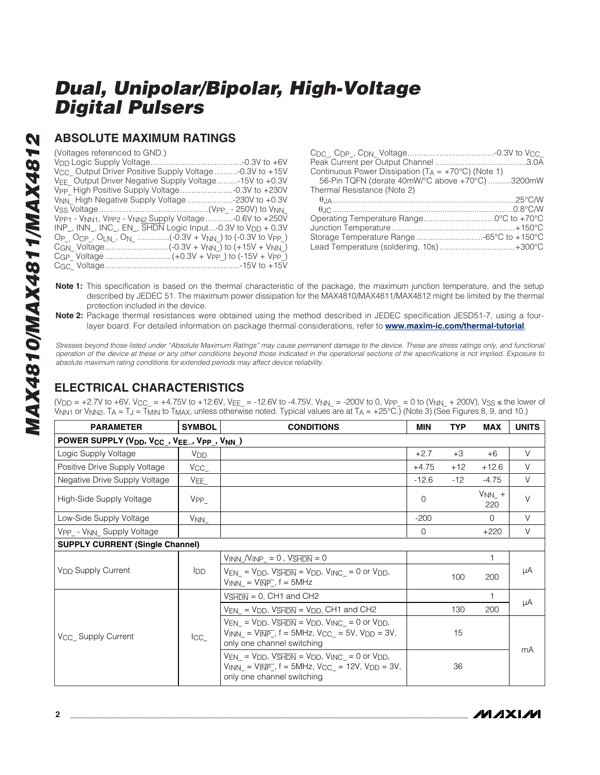#### **ABSOLUTE MAXIMUM RATINGS**

(Voltages referenced to GND.)

| Continuous Power Dissipation $(T_A = +70^{\circ}C)$ (Note 1) |  |
|--------------------------------------------------------------|--|
| 56-Pin TQFN (derate 40mW/°C above +70°C) 3200mW              |  |
| Thermal Resistance (Note 2)                                  |  |
|                                                              |  |
|                                                              |  |
|                                                              |  |
|                                                              |  |
| Storage Temperature Range -65°C to +150°C                    |  |
| Lead Temperature (soldering, 10s)+300°C                      |  |
|                                                              |  |

- **Note 1:** This specification is based on the thermal characteristic of the package, the maximum junction temperature, and the setup described by JEDEC 51. The maximum power dissipation for the MAX4810/MAX4811/MAX4812 might be limited by the thermal protection included in the device.
- **Note 2:** Package thermal resistances were obtained using the method described in JEDEC specification JESD51-7, using a fourlayer board. For detailed information on package thermal considerations, refer to **www.maxim-ic.com/thermal-tutorial**.

Stresses beyond those listed under "Absolute Maximum Ratings" may cause permanent damage to the device. These are stress ratings only, and functional operation of the device at these or any other conditions beyond those indicated in the operational sections of the specifications is not implied. Exposure to absolute maximum rating conditions for extended periods may affect device reliability.

### **ELECTRICAL CHARACTERISTICS**

(V<sub>DD</sub> = +2.7V to +6V, V<sub>CC\_</sub> = +4.75V to +12.6V, V<sub>EE\_</sub> = -12.6V to -4.75V, V<sub>NN\_</sub> = -200V to 0, V<sub>PP\_</sub> = 0 to (V<sub>NN\_</sub> + 200V), V<sub>SS</sub> ≤ the lower of V<sub>NN1</sub> or V<sub>NN2</sub>, T<sub>A</sub> = T<sub>J</sub> = T<sub>MIN</sub> to T<sub>MAX</sub>, unless otherwise noted. Typical values are at T<sub>A</sub> = +25°C.) (Note 3) (See Figures 8, 9, and 10.)

| <b>PARAMETER</b>                           | <b>SYMBOL</b>         | <b>CONDITIONS</b>                                                                                                                                                                            | <b>MIN</b> | <b>TYP</b> | <b>MAX</b>        | <b>UNITS</b> |  |  |
|--------------------------------------------|-----------------------|----------------------------------------------------------------------------------------------------------------------------------------------------------------------------------------------|------------|------------|-------------------|--------------|--|--|
| POWER SUPPLY (VDD, VCC_, VEE_, VPP_, VNN_) |                       |                                                                                                                                                                                              |            |            |                   |              |  |  |
| Logic Supply Voltage                       | <b>V<sub>DD</sub></b> |                                                                                                                                                                                              | $+2.7$     | $+3$       | $+6$              | $\vee$       |  |  |
| Positive Drive Supply Voltage              | $V_{\rm CC}$          |                                                                                                                                                                                              | $+4.75$    | $+12$      | $+12.6$           | $\vee$       |  |  |
| Negative Drive Supply Voltage              | $VEE_$                |                                                                                                                                                                                              | $-12.6$    | $-12$      | $-4.75$           | $\vee$       |  |  |
| High-Side Supply Voltage                   | V <sub>PP</sub>       |                                                                                                                                                                                              | 0          |            | $V_{NN}$ +<br>220 | V            |  |  |
| Low-Side Supply Voltage                    | $V_{NN_{-}}$          |                                                                                                                                                                                              | $-200$     |            | $\Omega$          | V            |  |  |
| VPP_ - V <sub>NN</sub> _ Supply Voltage    |                       |                                                                                                                                                                                              | 0          |            | $+220$            | V            |  |  |
| <b>SUPPLY CURRENT (Single Channel)</b>     |                       |                                                                                                                                                                                              |            |            |                   |              |  |  |
|                                            |                       | $V_{INN}$ $/V_{INP}$ = 0, $V_{SHDN}$ = 0                                                                                                                                                     |            |            | 1                 |              |  |  |
| <b>V<sub>DD</sub></b> Supply Current       | <b>I</b> DD           | $V_{EN} = V_{DD}$ , $V_{SHDN} = V_{DD}$ , $V_{INC} = 0$ or $V_{DD}$ ,<br>$V_{INN} = V_{\overline{INP}}$ , f = 5MHz                                                                           |            | 100        | 200               | μA           |  |  |
|                                            |                       | $V\overline{\text{SHDN}} = 0$ , CH1 and CH2                                                                                                                                                  |            |            | 1                 |              |  |  |
|                                            |                       | $V_{EN} = V_{DD}$ , $V_{SHDN} = V_{DD}$ , CH1 and CH2                                                                                                                                        |            | 130        | 200               | μA           |  |  |
| V <sub>CC</sub> Supply Current             | $\overline{C}$        | $V_{EN} = V_{DD}$ , $V_{\overline{SHDN}} = V_{DD}$ , $V_{INC} = 0$ or $V_{DD}$ ,<br>$V_{INN} = V_{\overline{INP}}$ , f = 5MHz, $V_{CC} = 5V$ , $V_{DD} = 3V$ ,<br>only one channel switching |            | 15         |                   | mA           |  |  |
|                                            |                       | $V_{EN} = V_{DD}$ , $V_{\overline{SHDN}} = V_{DD}$ , $V_{INC} = 0$ or $V_{DD}$ ,<br>$V_{INN} = V_{\overline{INP}}$ , f = 5MHz, $V_{CC}$ = 12V, $V_{DD}$ = 3V,<br>only one channel switching  |            | 36         |                   |              |  |  |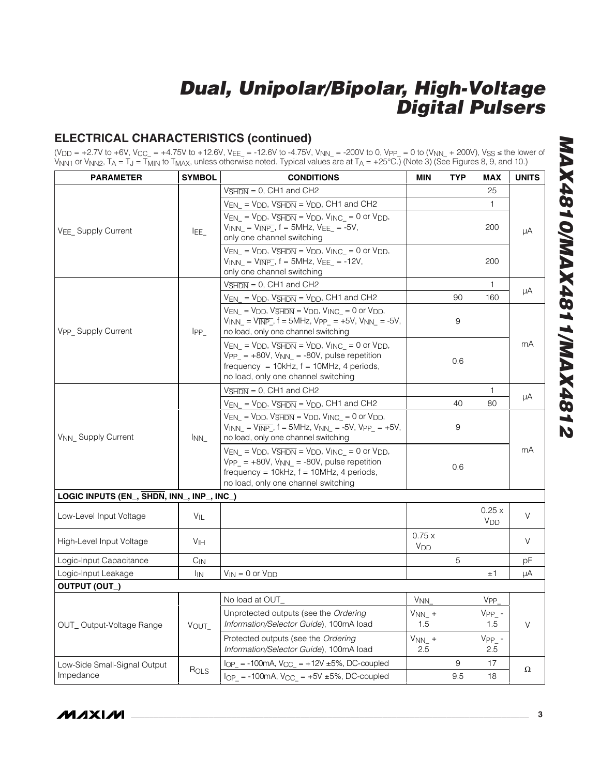### **ELECTRICAL CHARACTERISTICS (continued)**

(V<sub>DD</sub> = +2.7V to +6V, V<sub>CC\_</sub> = +4.75V to +12.6V, V<sub>EE\_</sub> = -12.6V to -4.75V, V<sub>NN\_</sub> = -200V to 0, V<sub>PP\_</sub> = 0 to (V<sub>NN\_</sub> + 200V), V<sub>SS</sub> ≤ the lower of V<sub>NN1</sub> or V<sub>NN2</sub>, T<sub>A</sub> = T<sub>J</sub> = T<sub>MIN</sub> to T<sub>MAX</sub>, unless otherwise noted. Typical values are at T<sub>A</sub> = +25°C.) (Note 3) (See Figures 8, 9, and 10.)

| <b>PARAMETER</b>                                  | <b>SYMBOL</b>   | <b>CONDITIONS</b>                                                                                                                                                                                                                   | <b>MIN</b>                     | <b>TYP</b> | MAX                            | <b>UNITS</b> |  |
|---------------------------------------------------|-----------------|-------------------------------------------------------------------------------------------------------------------------------------------------------------------------------------------------------------------------------------|--------------------------------|------------|--------------------------------|--------------|--|
|                                                   |                 | $V\overline{\text{SHDN}} = 0$ , CH1 and CH2                                                                                                                                                                                         |                                |            | 25                             |              |  |
|                                                   |                 | $V_{EN_-}$ = $V_{DD}$ , $V_{\overline{SHDN}}$ = $V_{DD}$ , CH1 and CH2                                                                                                                                                              |                                |            | 1.                             |              |  |
| VEE Supply Current                                | IEE_            | $V_{EN}$ = $V_{DD}$ , $V_{\overline{SHDN}}$ = $V_{DD}$ , $V_{INC}$ = 0 or $V_{DD}$ ,<br>$V_{INN} = V_{\overline{INP}}$ , f = 5MHz, $V_{EE}$ = -5V,<br>only one channel switching                                                    |                                |            | 200                            | μA           |  |
|                                                   |                 | $V_{EN}$ = $V_{DD}$ , $V_{\overline{SHDN}}$ = $V_{DD}$ , $V_{INC}$ = 0 or $V_{DD}$ ,<br>$V_{INN} = V_{\overline{INP}}$ , f = 5MHz, $V_{EE}$ = -12V,<br>only one channel switching                                                   |                                |            | 200                            |              |  |
|                                                   |                 | $V\overline{\text{SHDN}} = 0$ , CH1 and CH2                                                                                                                                                                                         |                                |            | $\mathbf{1}$                   |              |  |
|                                                   |                 | $V_{EN_-}$ = $V_{DD}$ , $V_{SHDN}$ = $V_{DD}$ , CH1 and CH2                                                                                                                                                                         |                                | 90         | 160                            | μA           |  |
| V <sub>PP</sub> Supply Current                    | $IPP_$          | $V_{EN} = V_{DD}$ , $V_{\overline{SHDN}} = V_{DD}$ , $V_{INC} = 0$ or $V_{DD}$ ,<br>$V_{INN} = V_{\overline{INP}}$ , f = 5MHz, Vpp_ = +5V, V <sub>NN_</sub> = -5V,<br>no load, only one channel switching                           |                                | 9          |                                |              |  |
|                                                   |                 | $V_{EN}$ = $V_{DD}$ , $V_{\overline{SHDN}}$ = $V_{DD}$ , $V_{INC}$ = 0 or $V_{DD}$ ,<br>$VPP_ = +80V$ , $V_{NN_ = -80V$ , pulse repetition<br>frequency = $10kHz$ , $f = 10MHz$ , 4 periods,<br>no load, only one channel switching |                                | 0.6        |                                | mA           |  |
|                                                   |                 | $V\overline{\text{SHDN}} = 0$ , CH1 and CH2                                                                                                                                                                                         |                                |            | 1.                             |              |  |
|                                                   |                 | $V_{EN}$ = $V_{DD}$ , $V_{SHDN}$ = $V_{DD}$ , CH1 and CH2                                                                                                                                                                           |                                | 40         | 80                             | μA           |  |
| V <sub>NN</sub> Supply Current                    | <sup>I</sup> NN | $V_{EN_-} = V_{DD}$ , $V_{\overline{SHDN}} = V_{DD}$ , $V_{INC_-} = 0$ or $V_{DD}$ ,<br>$V_{INN} = V_{\overline{INP}}$ , f = 5MHz, $V_{NN}$ = -5V, $V_{PP}$ = +5V,<br>no load, only one channel switching                           |                                | 9          |                                |              |  |
|                                                   |                 | $V_{EN} = V_{DD}$ , $V_{\overline{SHDN}} = V_{DD}$ , $V_{INC} = 0$ or $V_{DD}$ ,<br>$VPP_ = +80V$ , $V_{NN_ = -80V$ , pulse repetition<br>frequency = $10kHz$ , $f = 10MHz$ , 4 periods,<br>no load, only one channel switching     |                                | 0.6        |                                | mA           |  |
| LOGIC INPUTS (EN_, SHDN, INN_, INP_, INC_)        |                 |                                                                                                                                                                                                                                     |                                |            |                                |              |  |
| Low-Level Input Voltage                           | VIL             |                                                                                                                                                                                                                                     |                                |            | 0.25x<br><b>V<sub>DD</sub></b> | V            |  |
| High-Level Input Voltage<br><b>V<sub>IH</sub></b> |                 |                                                                                                                                                                                                                                     | 0.75x<br><b>V<sub>DD</sub></b> |            |                                | V            |  |
| Logic-Input Capacitance<br>$C_{IN}$               |                 |                                                                                                                                                                                                                                     |                                | 5          |                                | рF           |  |
| Logic-Input Leakage                               | <sup>I</sup> IN | $V_{IN} = 0$ or $V_{DD}$                                                                                                                                                                                                            |                                |            | ±1                             | μA           |  |
| OUTPUT (OUT_)                                     |                 |                                                                                                                                                                                                                                     |                                |            |                                |              |  |
|                                                   |                 | No load at OUT_                                                                                                                                                                                                                     | V <sub>NN</sub>                |            | V <sub>PP</sub>                |              |  |
| OUT_Output-Voltage Range                          | VOUT_           | Unprotected outputs (see the Ordering<br>Information/Selector Guide), 100mA load                                                                                                                                                    | $V_{NN\_}$ +<br>1.5            |            | $VPP_ - -$<br>1.5              | V            |  |
|                                                   |                 | Protected outputs (see the Ordering<br>Information/Selector Guide), 100mA load                                                                                                                                                      | $V_{NN\_}$ +<br>2.5            |            | $VPP_ - -$<br>2.5              |              |  |
| Low-Side Small-Signal Output                      |                 | $I_{OP}$ = -100mA, $V_{CC}$ = +12V ±5%, DC-coupled                                                                                                                                                                                  |                                | 9          | 17                             | Ω            |  |
| Impedance                                         | ROLS            | $I_{OP_{-}}$ = -100mA, $V_{CC_{-}}$ = +5V ±5%, DC-coupled<br>9.5<br>18                                                                                                                                                              |                                |            |                                |              |  |

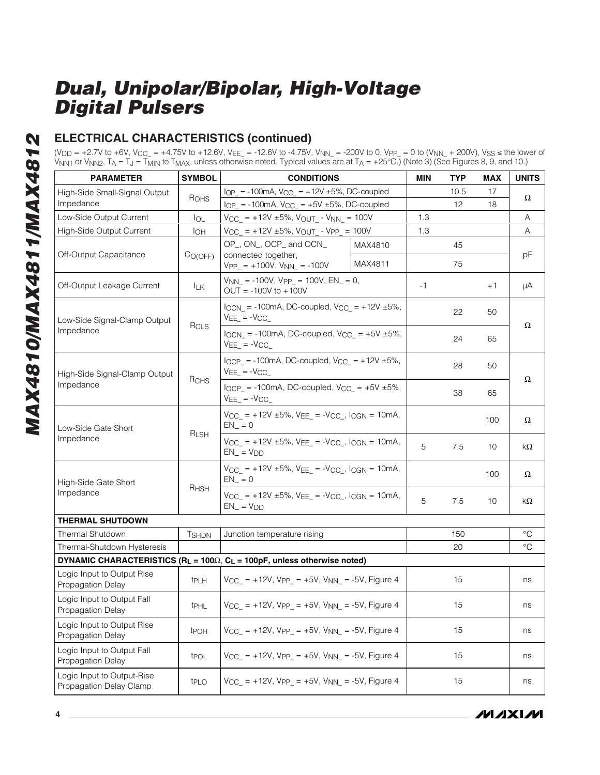### **ELECTRICAL CHARACTERISTICS (continued)**

(V<sub>DD</sub> = +2.7V to +6V, V<sub>CC\_</sub> = +4.75V to +12.6V, V<sub>EE\_</sub> = -12.6V to -4.75V, V<sub>NN\_</sub> = -200V to 0, V<sub>PP\_</sub> = 0 to (V<sub>NN\_</sub> + 200V), V<sub>SS</sub> ≤ the lower of V<sub>NN1</sub> or V<sub>NN2</sub>, T<sub>A</sub> = T<sub>J</sub> = T<sub>MIN</sub> to T<sub>MAX</sub>, unless otherwise noted. Typical values are at T<sub>A</sub> = +25°C.) (Note 3) (See Figures 8, 9, and 10.)

| <b>PARAMETER</b>                                      | <b>SYMBOL</b>       | <b>CONDITIONS</b>                                                                           |                                                                   |      | <b>TYP</b> | <b>MAX</b> | <b>UNITS</b> |
|-------------------------------------------------------|---------------------|---------------------------------------------------------------------------------------------|-------------------------------------------------------------------|------|------------|------------|--------------|
| High-Side Small-Signal Output                         |                     | $I_{OP}$ = -100mA, $V_{CC}$ = +12V ±5%, DC-coupled                                          |                                                                   |      | 10.5       | 17         | Ω            |
| Impedance                                             | ROHS                | $I_{OP}$ = -100mA, $V_{CC}$ = +5V ±5%, DC-coupled                                           |                                                                   |      | 12         | 18         |              |
| Low-Side Output Current                               | $I_{OL}$            | $V_{CC_{-}}$ = +12V ±5%, $V_{OUT_{-}}$ - $V_{NN_{-}}$ = 100V                                |                                                                   | 1.3  |            |            | Α            |
| High-Side Output Current                              | $I_{OH}$            | $V_{CC_{-}}$ = +12V ±5%, $V_{OUT_{-}}$ - $V_{PP_{-}}$ = 100V                                |                                                                   | 1.3  |            |            | Α            |
| Off-Output Capacitance                                | C <sub>O(OFF)</sub> | OP_, ON_, OCP_ and OCN_<br>connected together,                                              | MAX4810                                                           |      | 45         |            | pF           |
|                                                       |                     | $VPP_ = +100V, V_{NN_ = -100V$                                                              | MAX4811                                                           |      | 75         |            |              |
| Off-Output Leakage Current                            | <b>ILK</b>          | $V_{NN}$ = -100V, Vpp = 100V, EN_ = 0,<br>$OUT = -100V$ to $+100V$                          |                                                                   | $-1$ |            | $+1$       | μA           |
| Low-Side Signal-Clamp Output                          |                     | $I_{OCN_{-}}$ = -100mA, DC-coupled, $V_{CC_{-}}$ = +12V ±5%,<br>$VEE$ = $-VCC$              |                                                                   |      | 22         | 50         |              |
| Impedance                                             | $R_{CLS}$           | $I_{OCN}$ = -100mA, DC-coupled, $V_{CC}$ = +5V ±5%,<br>$VEE$ = $-VCC$                       |                                                                   |      | 24         | 65         | Ω            |
| High-Side Signal-Clamp Output                         | RCHS                | $I_{OCP}$ = -100mA, DC-coupled, $V_{CC}$ = +12V ±5%,<br>$VEE$ = $-VCC$                      |                                                                   |      | 28         | 50         |              |
| Impedance                                             |                     | $\log P = -100 \text{mA}$ , DC-coupled, V <sub>CC</sub> = $+5V \pm 5\%$ ,<br>$VEE$ = $-VCC$ |                                                                   | 38   | 65         | Ω          |              |
| Low-Side Gate Short                                   |                     | $V_{CC}$ = +12V ±5%, $V_{EE}$ = - $V_{CC}$ , $I_{CGN}$ = 10mA,<br>$EN_ = 0$                 |                                                                   |      |            | 100        | Ω            |
| Impedance                                             | RLSH                | $V_{CC}$ = +12V ±5%, $V_{EE}$ = - $V_{CC}$ , $I_{CGN}$ = 10mA,<br>$EN = VDD$                |                                                                   |      | 7.5        | 10         | kΩ           |
| High-Side Gate Short                                  |                     | $V_{CC}$ = +12V ±5%, $V_{EE}$ = - $V_{CC}$ , $l_{CGN}$ = 10mA,<br>$EN_ = 0$                 |                                                                   |      |            | 100        | Ω            |
| Impedance                                             | RHSH                | $V_{CC}$ = +12V ±5%, VEE = -V <sub>CC</sub> , I <sub>CGN</sub> = 10mA,<br>$EN_{-} = V_{DD}$ |                                                                   | 5    | 7.5        | 10         | kΩ           |
| <b>THERMAL SHUTDOWN</b>                               |                     |                                                                                             |                                                                   |      |            |            |              |
| <b>Thermal Shutdown</b>                               | <b>T</b> SHDN       | Junction temperature rising                                                                 |                                                                   |      | 150        |            | °C           |
| Thermal-Shutdown Hysteresis                           |                     |                                                                                             |                                                                   |      | 20         |            | $^{\circ}C$  |
|                                                       |                     | DYNAMIC CHARACTERISTICS (RL = $100\Omega$ , CL = $100pF$ , unless otherwise noted)          |                                                                   |      |            |            |              |
| Logic Input to Output Rise<br>Propagation Delay       | tpLH                |                                                                                             | $V_{CC_{-}}$ = +12V, Vpp_ = +5V, V <sub>NN_</sub> = -5V, Figure 4 |      |            |            | ns           |
| Logic Input to Output Fall<br>Propagation Delay       | t <sub>PHL</sub>    | $V_{CC_{-}}$ = +12V, Vpp <sub>-</sub> = +5V, V <sub>NN</sub> = -5V, Figure 4                |                                                                   |      | 15         |            | ns           |
| Logic Input to Output Rise<br>Propagation Delay       | tpoh                | $V_{CC_{-}}$ = +12V, Vpp <sub>_</sub> = +5V, V <sub>NN_</sub> = -5V, Figure 4               |                                                                   |      | 15         |            | ns           |
| Logic Input to Output Fall<br>Propagation Delay       | t <sub>POL</sub>    | $V_{CC_{-}}$ = +12V, Vpp <sub>_</sub> = +5V, V <sub>NN_</sub> = -5V, Figure 4               |                                                                   |      | 15         |            | ns           |
| Logic Input to Output-Rise<br>Propagation Delay Clamp | t <sub>PLO</sub>    | $V_{CC}$ = +12V, Vpp = +5V, V <sub>NN</sub> = -5V, Figure 4                                 |                                                                   |      | 15         |            | ns           |

**MAXIM**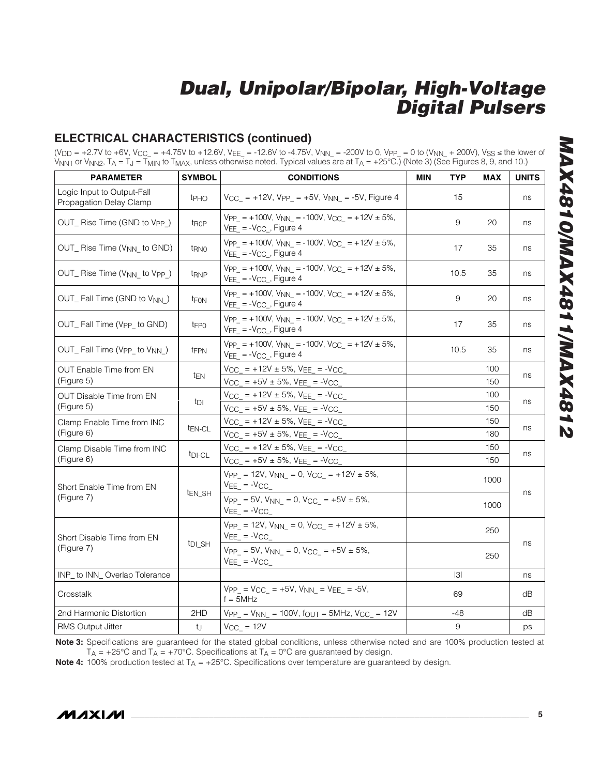### **ELECTRICAL CHARACTERISTICS (continued)**

(V<sub>DD</sub> = +2.7V to +6V, V<sub>CC\_</sub> = +4.75V to +12.6V, V<sub>EE\_</sub> = -12.6V to -4.75V, V<sub>NN\_</sub> = -200V to 0, V<sub>PP\_</sub> = 0 to (V<sub>NN\_</sub> + 200V), V<sub>SS</sub> ≤ the lower of V<sub>NN1</sub> or V<sub>NN2</sub>, T<sub>A</sub> = T<sub>J</sub> = T<sub>MIN</sub> to T<sub>MAX</sub>, unless otherwise noted. Typical values are at T<sub>A</sub> = +25°C.) (Note 3) (See Figures 8, 9, and 10.)

| <b>PARAMETER</b>                                       | <b>SYMBOL</b>      | <b>CONDITIONS</b>                                                                                  | <b>MIN</b> | <b>TYP</b> | <b>MAX</b> | <b>UNITS</b> |
|--------------------------------------------------------|--------------------|----------------------------------------------------------------------------------------------------|------------|------------|------------|--------------|
| Logic Input to Output-Fall<br>Propagation Delay Clamp  | t <sub>PHO</sub>   | $V_{CC_{-}}$ = +12V, Vpp <sub>-</sub> = +5V, V <sub>NN</sub> = -5V, Figure 4                       |            | 15         |            | ns           |
| OUT_ Rise Time (GND to Vpp_)                           | t <sub>ROP</sub>   | $VPP_{-} = +100V$ , $V_{NN_{-}} = -100V$ , $V_{CC_{-}} = +12V \pm 5\%,$<br>$VEE = -VCC$ , Figure 4 |            | 9          | 20         | ns           |
| OUT_ Rise Time (V <sub>NN_</sub> to GND)               | t <sub>RNO</sub>   | $VPP = +100V$ , $VNN = -100V$ , $VCC = +12V \pm 5\%$ ,<br>$VEE = -VCC$ , Figure 4                  |            | 17         | 35         | ns           |
| OUT_ Rise Time (V <sub>NN_</sub> to V <sub>PP_</sub> ) | t <sub>RNP</sub>   | $VPP = +100V$ , $VNN = -100V$ , $VCC = +12V \pm 5\%$ ,<br>$VEE = -VCC$ , Figure 4                  |            | 10.5       | 35         | ns           |
| OUT_Fall Time (GND to V <sub>NN</sub> )                | t <sub>FON</sub>   | $VPP = +100V$ , $VNN = -100V$ , $VCC = +12V \pm 5\%$ ,<br>$VEE = -VCC$ , Figure 4                  |            | 9          | 20         | ns           |
| OUT_Fall Time (Vpp_ to GND)                            | tFPO               | $VPP = +100V$ , $VNN = -100V$ , $VCC = +12V \pm 5\%$ ,<br>$VEE = -VCC$ , Figure 4                  |            | 17         | 35         | ns           |
| OUT_Fall Time (V <sub>PP_</sub> to V <sub>NN_</sub> )  | tFPN               | $VPP = +100V$ , $VNN_ = -100V$ , $V_{CC_ = +12V ± 5\%,$<br>$VEE = -VCC$ , Figure 4                 |            | 10.5       | 35         | ns           |
| <b>OUT Enable Time from EN</b><br>(Figure 5)           | tEN                | $V_{CC_}$ = +12V ± 5%, $V_{EE_}$ = - $V_{CC_}$<br>$V_{CC_}$ = +5V ± 5%, $V_{EE_}$ = - $V_{CC_}$    |            |            | 100<br>150 | ns           |
| OUT Disable Time from EN<br>(Figure 5)                 | tdi                | $V_{CC_{-}}$ = +12V ± 5%, VEE_ = -VCC_<br>$VCC_{-}$ = +5V ± 5%, VEE_ = -VCC_                       |            |            | 100<br>150 | ns           |
| Clamp Enable Time from INC<br>(Figure 6)               | t <sub>EN-CL</sub> | $V_{CC_}$ = +12V ± 5%, $V_{EE_}$ = - $V_{CC_}$<br>$V_{CC_{-}}$ = +5V ± 5%, VEE_ = -VCC_            |            |            | 150<br>180 | ns           |
| Clamp Disable Time from INC<br>(Figure 6)              | t <sub>DI-CL</sub> | $V_{CC_}$ = +12V ± 5%, VEE_ = -VCC_<br>$V_{CC_}$ = +5V ± 5%, $V_{EE_}$ = - $V_{CC_}$               |            |            | 150<br>150 | ns           |
| Short Enable Time from EN                              |                    | $VPP_ = 12V$ , $V_{NN_ = 0$ , $V_{CC_ = +12V \pm 5\%}$ ,<br>$VEE$ = $-VCC$                         |            |            | 1000       |              |
| (Figure 7)                                             | t <sub>EN_SH</sub> | $VPP_ = 5V$ , $V_{NN_ = 0$ , $V_{CC_ = +5V \pm 5\%}$ ,<br>$VEE = -VCC$                             |            |            | 1000       | ns           |
| Short Disable Time from EN                             |                    | $VPP_ = 12V$ , $V_{NN_ = 0$ , $V_{CC_ = +12V ± 5%}$ ,<br>$VEE$ = $-VCC$                            |            |            | 250        |              |
| (Figure 7)                                             | t <sub>DI_SH</sub> | $VPP = 5V$ , $VNN = 0$ , $VCC = +5V \pm 5\%$ ,<br>$VEE_$ = $-VCC_$                                 |            |            | 250        | ns           |
| INP_ to INN_Overlap Tolerance                          |                    |                                                                                                    |            | 3          |            | ns           |
| Crosstalk                                              |                    | $VPP_ = VCC_ = +5V$ , $V_{NN_} = VEE_ = -5V$ ,<br>$f = 5MHz$                                       |            | 69         |            | dB           |
| 2nd Harmonic Distortion                                | 2HD                | $VPP_{-} = V_{NN_{-}} = 100V$ , fout = 5MHz, $V_{CC_{-}} = 12V$                                    |            | $-48$      |            | dB           |
| RMS Output Jitter                                      | tJ                 | $V_{CC}$ = 12V                                                                                     |            | 9          |            | ps           |

**Note 3:** Specifications are guaranteed for the stated global conditions, unless otherwise noted and are 100% production tested at  $T_A = +25^{\circ}$ C and  $T_A = +70^{\circ}$ C. Specifications at  $T_A = 0^{\circ}$ C are guaranteed by design.

**Note 4:** 100% production tested at T<sub>A</sub> = +25°C. Specifications over temperature are guaranteed by design.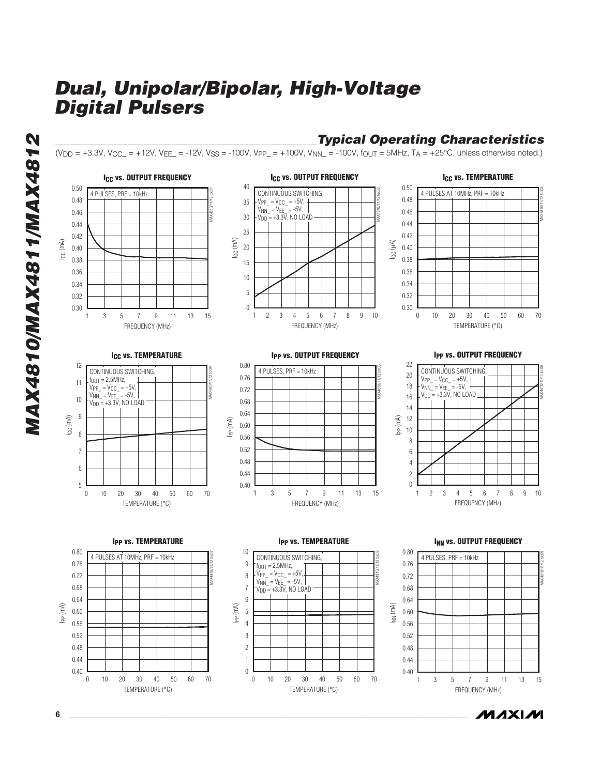

**MAXM** 

MAX4810/MAX4811/MAX4812 **MAX4810/MAX4811/MAX4812**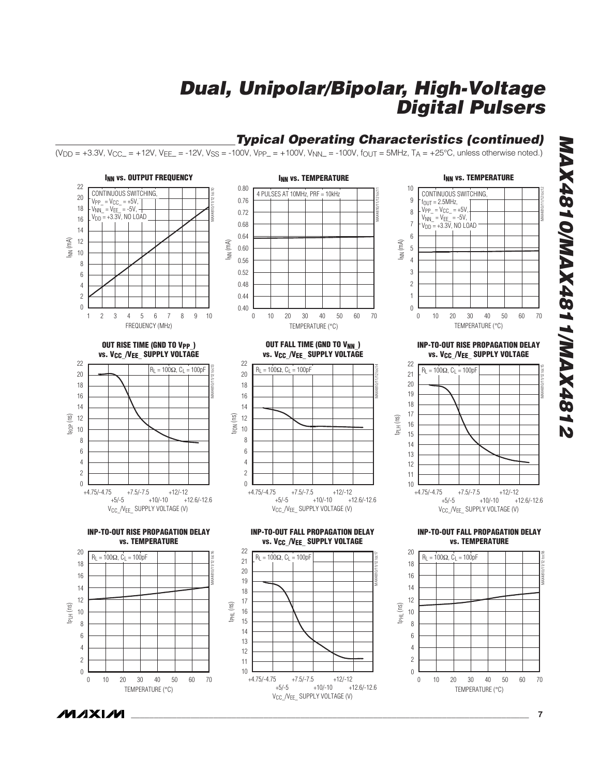#### **Typical Operating Characteristics (continued)** (V<sub>DD</sub> = +3.3V, V<sub>CC</sub>\_ = +12V, V<sub>EE</sub>\_ = -12V, V<sub>SS</sub> = -100V, V<sub>PP</sub>\_ = +100V, V<sub>NN</sub>\_ = -100V, f<sub>OUT</sub> = 5MHz, T<sub>A</sub> = +25°C, unless otherwise noted.) **1 3 3 4 5 6 7 8 9 10 12 3 4 5 6 7 8 9 10 12 4 4 5 6 7 8 9 10 12 4 4 5 6 7 8 9 10 12 4 4 5 6 7 8 9 10 12 4 4 5 6 7 8 9 10 12 12 13 4 5 6 7 8 9 10 12 12 13 4 5 6 7 8 9 10 12 12 13 4 5 6 7 8 9 10 12 12 13 4 5 6 7 8 9 10 12 SPACE AT 10 AM VS. TEMPERATURE**<br> **EXECUTE:**<br> **EXECUTE:**<br> **EXECUTE:**<br> **EXECUTE:**<br> **EXECUTE:**<br> **EXECUTE:**<br> **EXECUTE:**<br> **EXECUTE:**<br> **EXECUTE:**<br> **EXECUTE:**<br> **EXECUTE:**<br> **EXECUTE:**<br> **EXECUTE:**<br> **EXECUTE:**<br> **EXECUTE:**<br> **EXECUTE INN VS. TEMPERATURE**<br>
CONTINUOUS SWITCHING,<br>  $t_{0UT} = 2.5MHz$ ,<br>  $V_{PP} = V_{CC} = +5V$ ,<br>  $V_{NN} = V_{EE} = -5V$ ,<br>  $V_{DD} = +3.3V$ , NO LOAD<br>  $= +3.3V$ , NO LOAD<br>  $= +3.3V$ , NO LOAD<br>  $= 0.30$ <br>  $= 0.30$ <br>  $= 0.50$ <br>  $= 0.70$ 22 0.80 10 CONTINUOUS SWITCHING<br>
VPP\_ = V<sub>CC\_</sub> = +5V,<br>
V<sub>NN\_</sub> = V<sub>EE</sub>\_ = -5V, <del>V</del><br>
V<sub>DD</sub> = +3.3V, NO LOAD 4 PULSES AT 10MHz, PRF = 10kHz CONTINUOUS SWITCHING<br>
FOUT = 2.5MHz,<br>
VPP\_ = V<sub>CC\_</sub> = +5V,<br>
V<sub>NN\_</sub> = V<sub>EE\_</sub> = -5V,<br>
V<sub>DD</sub> = +3.3V, NO LOAD — 20 9 0.76 9876543210 18 0.72 8 16 0.68  $\overline{7}$ 14 0.64  $6\overline{6}$ INN (mA) 12 INN (mA) INN (mA) 0.60  $\sqrt{5}$  $10$ 10<br>8<br>6<br>4<br>2 0.56  $\overline{4}$  $\,8\,$ 3  $6\,$ 0.52  $\overline{4}$ 0.48  $\sqrt{2}$  $\overline{c}$ 0.44  $\overline{1}$  $\boldsymbol{0}$  $\theta$ 0.40 FREQUENCY (MHz) TEMPERATURE ( °C) TEMPERATURE ( °C) **INP-TO-OUT RISE PROPAGATION DELAY OUT RISE TIME (GND TO VPP\_ ) OUT FALL TIME (GND TO VNN\_ ) vs. V<sub>CC</sub>** /V<sub>EE</sub> SUPPLY VOLTAGE **vs. V<sub>CC</sub>** /V<sub>EE</sub> SUPPLY VOLTAGE **vs. V<sub>CC</sub>** /V<sub>EE</sub> SUPPLY VOLTAGE 22 22 22 MAX4810/11/12 toc13 MAX4810/11/12 toc14 MAX4810/11/12 toc15 R  $R_{\rm L} = 100 \Omega$ ,  $C_{\rm L} = 100 \rho F$ <br>  $+7.5 \rho F$ <br>  $+7.5 \rho F$ <br>  $+7.5 \rho F$ <br>  $+10 \rho F$ <br>  $+12.6 \rho F$ <br>  $+12.6 \rho F$ <br>  $+12.6 \rho F$ <br>  $+12.6 \rho F$  $_L$  = 100 $\Omega$ , C $_L$  = 100pF  $R_L = 100\Omega$ ,  $C_L = 100pF$ 20 20 21 20 18 18 19 16 16 18 14 14 17 tFON (ns) tROP (ns) 12 12 tPLH (ns) 16  $10$  $10$ 10<br>8<br>6<br>4<br>2 10<br>8<br>6<br>4<br>2 15  $\overline{8}$  $\overline{8}$ 14  $6\overline{6}$  $6\phantom{a}$ 13  $\overline{4}$  $\overline{4}$ 12  $\overline{c}$  $\overline{c}$ 11 0  $\theta$ 10  $+4.75/-4.75$   $+7.5/-7.5$   $+12/-12$ <br>+5/-5  $+10/-10$   $+1$  $+4.75/-4.75 +7.5/-7.5 +12/-12+5/-5 +10/-10 +12.6/-12.6$ +4.75/-4.75 +7.5/-7.5 +12/-12  $+12.6 - 12.6$  $+12.6 - 12.6$ V<sub>CC\_</sub>/V<sub>EE\_</sub> SUPPLY VOLTAGE (V) V<sub>CC</sub> /V<sub>FF</sub> SUPPLY VOLTAGE (V) V<sub>CC</sub> /V<sub>FF</sub> SUPPLY VOLTAGE (V) **INP-TO-OUT RISE PROPAGATION DELAY INP-TO-OUT FALL PROPAGATION DELAY INP-TO-OUT FALL PROPAGATION DELAY vs. TEMPERATURE vs. TEMPERATURE vs. VCC\_/VEE\_ SUPPLY VOLTAGE** 22 20 20 MAX4810/11/12 toc16 MAX4810/11/12 toc17 MAX4810/11/12 toc18  $R_L = 100\Omega$ ,  $C_L = 100pF$ R L = 100 Ω, C L = 100pF  $R_L = 100\Omega$ , C<sub>L</sub> = 100pF 21 18 18 20 16 16 19 14 14 18 12 12 17 tPLH (ns) tPHL (ns) t<sub>PHL</sub> (ns)  $\begin{array}{c} 10 \\ 8 \end{array}$ 16  $\begin{array}{c} 10 \\ 8 \end{array}$ 15 14  $6\phantom{a}$  $6\,$ 6<br>4<br>2<br>0 6<br>4<br>2<br>0 13  $\overline{4}$  $\overline{4}$ 12  $\overline{c}$  $\overline{c}$ 11  $\boldsymbol{0}$  $10$   $+4.75/-4.75$  $\boldsymbol{0}$  $\frac{1}{1}$  +7.5/-7.5 +12/-12<br>+5/-5 +10/-10 + 0 10 20 30 40 50 60 70 0 10 20 30 40 50 60 70

V<sub>CC\_</sub>/V<sub>EE\_</sub> SUPPLY VOLTAGE (V)

 $+12.6/-12.6$ 

**MAX4810/MAX4811/MAX4812 2184XAM/1184XAM/0184XAM** 

**MAXM \_\_\_\_\_\_\_\_\_\_\_\_\_\_\_\_\_\_\_\_\_\_\_\_\_\_\_\_\_\_\_\_\_\_\_\_\_\_\_\_\_\_\_\_\_\_\_\_\_\_\_\_\_\_\_\_\_\_\_\_\_\_\_\_\_\_\_\_\_\_\_\_\_\_\_\_\_\_\_\_\_\_\_\_\_\_\_ 7**

TEMPERATURE ( °C)

TEMPERATURE ( °C)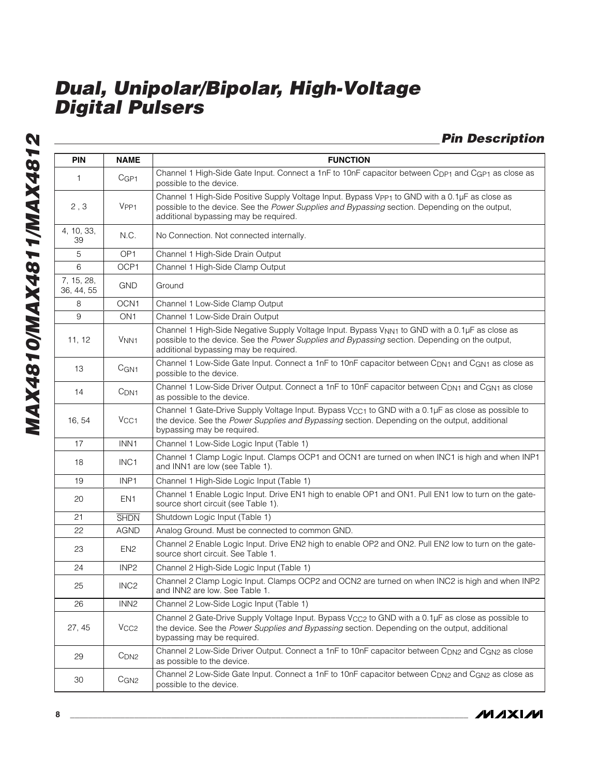**Pin Description**

| <b>PIN</b>               | <b>NAME</b>      | <b>FUNCTION</b>                                                                                                                                                                                                                                       |
|--------------------------|------------------|-------------------------------------------------------------------------------------------------------------------------------------------------------------------------------------------------------------------------------------------------------|
| 1                        | CGP1             | Channel 1 High-Side Gate Input. Connect a 1nF to 10nF capacitor between Cpp <sub>1</sub> and C <sub>GP1</sub> as close as<br>possible to the device.                                                                                                  |
| 2, 3                     | V <sub>PP1</sub> | Channel 1 High-Side Positive Supply Voltage Input. Bypass Vpp1 to GND with a 0.1µF as close as<br>possible to the device. See the Power Supplies and Bypassing section. Depending on the output,<br>additional bypassing may be required.             |
| 4, 10, 33,<br>39         | N.C.             | No Connection. Not connected internally.                                                                                                                                                                                                              |
| 5                        | OP <sub>1</sub>  | Channel 1 High-Side Drain Output                                                                                                                                                                                                                      |
| 6                        | OCP1             | Channel 1 High-Side Clamp Output                                                                                                                                                                                                                      |
| 7, 15, 28,<br>36, 44, 55 | <b>GND</b>       | Ground                                                                                                                                                                                                                                                |
| 8                        | OCN <sub>1</sub> | Channel 1 Low-Side Clamp Output                                                                                                                                                                                                                       |
| $\overline{9}$           | ON <sub>1</sub>  | Channel 1 Low-Side Drain Output                                                                                                                                                                                                                       |
| 11, 12                   | V <sub>NN1</sub> | Channel 1 High-Side Negative Supply Voltage Input. Bypass V <sub>NN1</sub> to GND with a 0.1µF as close as<br>possible to the device. See the Power Supplies and Bypassing section. Depending on the output,<br>additional bypassing may be required. |
| 13                       | C <sub>GN1</sub> | Channel 1 Low-Side Gate Input. Connect a 1nF to 10nF capacitor between C <sub>DN1</sub> and C <sub>GN1</sub> as close as<br>possible to the device.                                                                                                   |
| 14                       | C <sub>DN1</sub> | Channel 1 Low-Side Driver Output. Connect a 1nF to 10nF capacitor between C <sub>DN1</sub> and C <sub>GN1</sub> as close<br>as possible to the device.                                                                                                |
| 16, 54                   | V <sub>CC1</sub> | Channel 1 Gate-Drive Supply Voltage Input. Bypass V <sub>CC1</sub> to GND with a 0.1µF as close as possible to<br>the device. See the Power Supplies and Bypassing section. Depending on the output, additional<br>bypassing may be required.         |
| 17                       | INN <sub>1</sub> | Channel 1 Low-Side Logic Input (Table 1)                                                                                                                                                                                                              |
| 18                       | INC <sub>1</sub> | Channel 1 Clamp Logic Input. Clamps OCP1 and OCN1 are turned on when INC1 is high and when INP1<br>and INN1 are low (see Table 1).                                                                                                                    |
| 19                       | INP <sub>1</sub> | Channel 1 High-Side Logic Input (Table 1)                                                                                                                                                                                                             |
| 20                       | EN <sub>1</sub>  | Channel 1 Enable Logic Input. Drive EN1 high to enable OP1 and ON1. Pull EN1 low to turn on the gate-<br>source short circuit (see Table 1).                                                                                                          |
| 21                       | <b>SHDN</b>      | Shutdown Logic Input (Table 1)                                                                                                                                                                                                                        |
| 22                       | <b>AGND</b>      | Analog Ground. Must be connected to common GND.                                                                                                                                                                                                       |
| 23                       | EN <sub>2</sub>  | Channel 2 Enable Logic Input. Drive EN2 high to enable OP2 and ON2. Pull EN2 low to turn on the gate-<br>source short circuit. See Table 1.                                                                                                           |
| 24                       | INP <sub>2</sub> | Channel 2 High-Side Logic Input (Table 1)                                                                                                                                                                                                             |
| 25                       | INC <sub>2</sub> | Channel 2 Clamp Logic Input. Clamps OCP2 and OCN2 are turned on when INC2 is high and when INP2<br>and INN2 are low. See Table 1.                                                                                                                     |
| 26                       | INN <sub>2</sub> | Channel 2 Low-Side Logic Input (Table 1)                                                                                                                                                                                                              |
| 27, 45                   | V <sub>CC2</sub> | Channel 2 Gate-Drive Supply Voltage Input. Bypass V <sub>CC2</sub> to GND with a 0.1µF as close as possible to<br>the device. See the Power Supplies and Bypassing section. Depending on the output, additional<br>bypassing may be required.         |
| 29                       | C <sub>DN2</sub> | Channel 2 Low-Side Driver Output. Connect a 1nF to 10nF capacitor between C <sub>DN2</sub> and C <sub>GN2</sub> as close<br>as possible to the device.                                                                                                |
| 30                       | C <sub>GN2</sub> | Channel 2 Low-Side Gate Input. Connect a 1nF to 10nF capacitor between C <sub>DN2</sub> and C <sub>GN2</sub> as close as<br>possible to the device.                                                                                                   |

**MAXIM**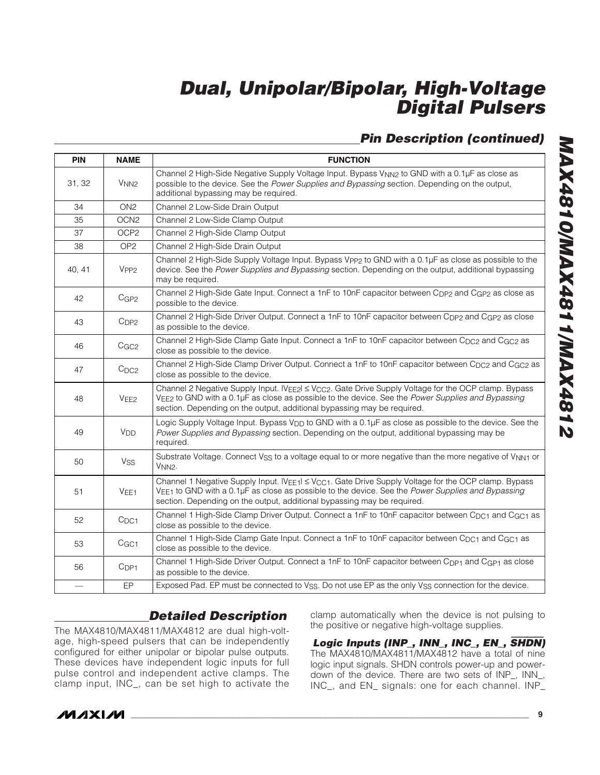### **Pin Description (continued)**

| <b>PIN</b>               | <b>NAME</b>           | <b>FUNCTION</b>                                                                                                                                                                                                                                                                                  |  |  |  |  |  |  |
|--------------------------|-----------------------|--------------------------------------------------------------------------------------------------------------------------------------------------------------------------------------------------------------------------------------------------------------------------------------------------|--|--|--|--|--|--|
| 31, 32                   | V <sub>NN2</sub>      | Channel 2 High-Side Negative Supply Voltage Input. Bypass V <sub>NN2</sub> to GND with a 0.1µF as close as<br>possible to the device. See the Power Supplies and Bypassing section. Depending on the output,<br>additional bypassing may be required.                                            |  |  |  |  |  |  |
| 34                       | ON <sub>2</sub>       | Channel 2 Low-Side Drain Output                                                                                                                                                                                                                                                                  |  |  |  |  |  |  |
| 35                       | OCN <sub>2</sub>      | Channel 2 Low-Side Clamp Output                                                                                                                                                                                                                                                                  |  |  |  |  |  |  |
| 37                       | OCP <sub>2</sub>      | Channel 2 High-Side Clamp Output                                                                                                                                                                                                                                                                 |  |  |  |  |  |  |
| 38                       | OP <sub>2</sub>       | Channel 2 High-Side Drain Output                                                                                                                                                                                                                                                                 |  |  |  |  |  |  |
| 40, 41                   | V <sub>PP2</sub>      | Channel 2 High-Side Supply Voltage Input. Bypass Vpp2 to GND with a 0.1µF as close as possible to the<br>device. See the Power Supplies and Bypassing section. Depending on the output, additional bypassing<br>may be required.                                                                 |  |  |  |  |  |  |
| 42                       | CGP2                  | Channel 2 High-Side Gate Input. Connect a 1nF to 10nF capacitor between C <sub>DP2</sub> and C <sub>GP2</sub> as close as<br>possible to the device.                                                                                                                                             |  |  |  |  |  |  |
| 43                       | CDP2                  | Channel 2 High-Side Driver Output. Connect a 1nF to 10nF capacitor between C <sub>DP2</sub> and C <sub>GP2</sub> as close<br>as possible to the device.                                                                                                                                          |  |  |  |  |  |  |
| 46                       | C <sub>GC2</sub>      | Channel 2 High-Side Clamp Gate Input. Connect a 1nF to 10nF capacitor between C <sub>DC2</sub> and C <sub>GC2</sub> as<br>close as possible to the device.                                                                                                                                       |  |  |  |  |  |  |
| 47                       | $C_{DC2}$             | Channel 2 High-Side Clamp Driver Output. Connect a 1nF to 10nF capacitor between C <sub>DC2</sub> and C <sub>GC2</sub> as<br>close as possible to the device.                                                                                                                                    |  |  |  |  |  |  |
| 48                       | VEF2                  | Channel 2 Negative Supply Input. IVEE2 < VCC2. Gate Drive Supply Voltage for the OCP clamp. Bypass<br>VEE2 to GND with a 0.1µF as close as possible to the device. See the Power Supplies and Bypassing<br>section. Depending on the output, additional bypassing may be required.               |  |  |  |  |  |  |
| 49                       | <b>V<sub>DD</sub></b> | Logic Supply Voltage Input. Bypass V <sub>DD</sub> to GND with a 0.1µF as close as possible to the device. See the<br>Power Supplies and Bypassing section. Depending on the output, additional bypassing may be<br>required.                                                                    |  |  |  |  |  |  |
| 50                       | Vss                   | Substrate Voltage. Connect V <sub>SS</sub> to a voltage equal to or more negative than the more negative of V <sub>NN1</sub> or<br>V <sub>NN2</sub> .                                                                                                                                            |  |  |  |  |  |  |
| 51                       | VEE <sub>1</sub>      | Channel 1 Negative Supply Input. IVEE1  ≤ V <sub>CC1</sub> . Gate Drive Supply Voltage for the OCP clamp. Bypass<br>VEE1 to GND with a 0.1µF as close as possible to the device. See the Power Supplies and Bypassing<br>section. Depending on the output, additional bypassing may be required. |  |  |  |  |  |  |
| 52                       | $C_{DC1}$             | Channel 1 High-Side Clamp Driver Output. Connect a 1nF to 10nF capacitor between C <sub>DC1</sub> and C <sub>GC1</sub> as<br>close as possible to the device.                                                                                                                                    |  |  |  |  |  |  |
| 53                       | CGC1                  | Channel 1 High-Side Clamp Gate Input. Connect a 1nF to 10nF capacitor between C <sub>DC1</sub> and C <sub>GC1</sub> as<br>close as possible to the device.                                                                                                                                       |  |  |  |  |  |  |
| 56                       | C <sub>DP1</sub>      | Channel 1 High-Side Driver Output. Connect a 1nF to 10nF capacitor between Cpp <sub>1</sub> and C <sub>GP1</sub> as close<br>as possible to the device.                                                                                                                                          |  |  |  |  |  |  |
| $\overline{\phantom{0}}$ | EP                    | Exposed Pad. EP must be connected to V <sub>SS</sub> . Do not use EP as the only V <sub>SS</sub> connection for the device.                                                                                                                                                                      |  |  |  |  |  |  |

#### **Detailed Description**

The MAX4810/MAX4811/MAX4812 are dual high-voltage, high-speed pulsers that can be independently configured for either unipolar or bipolar pulse outputs. These devices have independent logic inputs for full pulse control and independent active clamps. The clamp input, INC\_, can be set high to activate the clamp automatically when the device is not pulsing to the positive or negative high-voltage supplies.

**Logic Inputs (INP\_, INN\_, INC\_, EN\_,** SHDN**)** The MAX4810/MAX4811/MAX4812 have a total of nine logic input signals. SHDN controls power-up and powerdown of the device. There are two sets of INP\_, INN\_, INC\_, and EN\_ signals: one for each channel. INP\_



**\_\_\_\_\_\_\_\_\_\_\_\_\_\_\_\_\_\_\_\_\_\_\_\_\_\_\_\_\_\_\_\_\_\_\_\_\_\_\_\_\_\_\_\_\_\_\_\_\_\_\_\_\_\_\_\_\_\_\_\_\_\_\_\_\_\_\_\_\_\_\_\_\_\_\_\_\_\_\_\_\_\_\_\_\_\_\_ 9**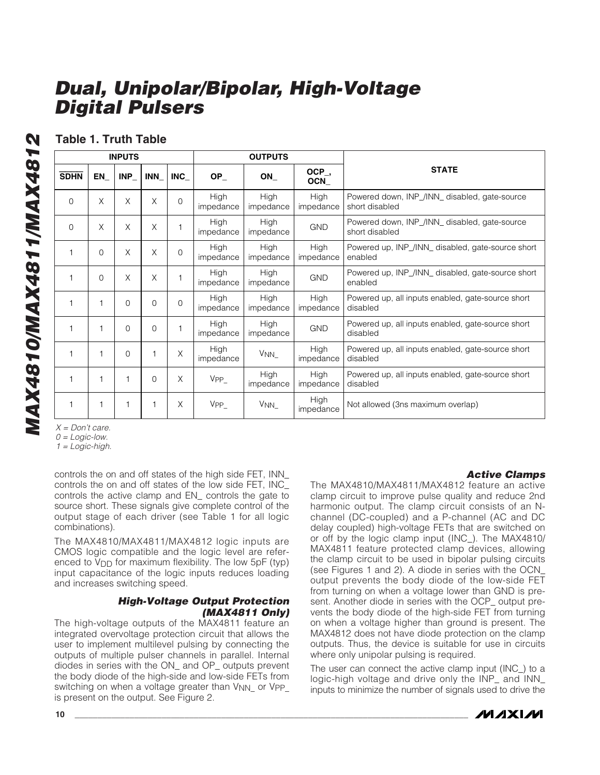#### **Table 1. Truth Table**

|             |          | <b>INPUTS</b> |            |            |                          | <b>OUTPUTS</b>                                    |                                                                                      |                                                               |
|-------------|----------|---------------|------------|------------|--------------------------|---------------------------------------------------|--------------------------------------------------------------------------------------|---------------------------------------------------------------|
| <b>SDHN</b> | EN       | INP           | <b>INN</b> | <b>INC</b> | $OP_$                    | ON                                                | OCP_,<br>OCN                                                                         | <b>STATE</b>                                                  |
| $\Omega$    | X        | X             | X          | $\Omega$   | High<br>impedance        | High<br>impedance                                 | High<br>Powered down, INP_/INN_ disabled, gate-source<br>impedance<br>short disabled |                                                               |
| $\Omega$    | X        | X             | X          |            | High<br>impedance        | High<br>impedance                                 | Powered down, INP_/INN_ disabled, gate-source<br><b>GND</b><br>short disabled        |                                                               |
| 1           | $\Omega$ | X             | X          | $\Omega$   | High<br>impedance        | High<br>High<br>impedance<br>impedance<br>enabled |                                                                                      | Powered up, INP_/INN_ disabled, gate-source short             |
|             | $\Omega$ | X             | X          |            | High<br>impedance        | High<br>impedance                                 | Powered up, INP_/INN_ disabled, gate-source short<br><b>GND</b><br>enabled           |                                                               |
| 1           |          | $\Omega$      | $\Omega$   | $\Omega$   | High<br>impedance        | High<br>impedance                                 | High<br>Powered up, all inputs enabled, gate-source short<br>impedance<br>disabled   |                                                               |
|             |          | $\Omega$      | $\Omega$   |            | <b>High</b><br>impedance | High<br>impedance                                 | <b>GND</b>                                                                           | Powered up, all inputs enabled, gate-source short<br>disabled |
|             |          | $\Omega$      |            | X          | High<br>impedance        | V <sub>NN</sub>                                   | <b>High</b><br>impedance                                                             | Powered up, all inputs enabled, gate-source short<br>disabled |
|             |          |               | $\Omega$   | X          | $VPP_$                   | High<br>impedance                                 | High<br>Powered up, all inputs enabled, gate-source short<br>impedance<br>disabled   |                                                               |
|             |          |               |            | X          | $VPP_$                   | $V_{NN_{-}}$                                      | High<br>Not allowed (3ns maximum overlap)<br>impedance                               |                                                               |

 $X = Don't care.$ 

 $0 = Logic$ -low.

 $1 = Logic$ -high.

controls the on and off states of the high side FET, INN\_ controls the on and off states of the low side FET, INC\_ controls the active clamp and EN\_ controls the gate to source short. These signals give complete control of the output stage of each driver (see Table 1 for all logic combinations).

The MAX4810/MAX4811/MAX4812 logic inputs are CMOS logic compatible and the logic level are referenced to  $V_{\text{DD}}$  for maximum flexibility. The low  $5pF$  (typ) input capacitance of the logic inputs reduces loading and increases switching speed.

#### **High-Voltage Output Protection (MAX4811 Only)**

The high-voltage outputs of the MAX4811 feature an integrated overvoltage protection circuit that allows the user to implement multilevel pulsing by connecting the outputs of multiple pulser channels in parallel. Internal diodes in series with the ON\_ and OP\_ outputs prevent the body diode of the high-side and low-side FETs from switching on when a voltage greater than  $V_{NN}$  or  $V_{PP}$ is present on the output. See Figure 2.

#### **Active Clamps**

The MAX4810/MAX4811/MAX4812 feature an active clamp circuit to improve pulse quality and reduce 2nd harmonic output. The clamp circuit consists of an Nchannel (DC-coupled) and a P-channel (AC and DC delay coupled) high-voltage FETs that are switched on or off by the logic clamp input (INC\_). The MAX4810/ MAX4811 feature protected clamp devices, allowing the clamp circuit to be used in bipolar pulsing circuits (see Figures 1 and 2). A diode in series with the OCN\_ output prevents the body diode of the low-side FET from turning on when a voltage lower than GND is present. Another diode in series with the OCP\_ output prevents the body diode of the high-side FET from turning on when a voltage higher than ground is present. The MAX4812 does not have diode protection on the clamp outputs. Thus, the device is suitable for use in circuits where only unipolar pulsing is required.

The user can connect the active clamp input (INC\_) to a logic-high voltage and drive only the INP\_ and INN\_ inputs to minimize the number of signals used to drive the

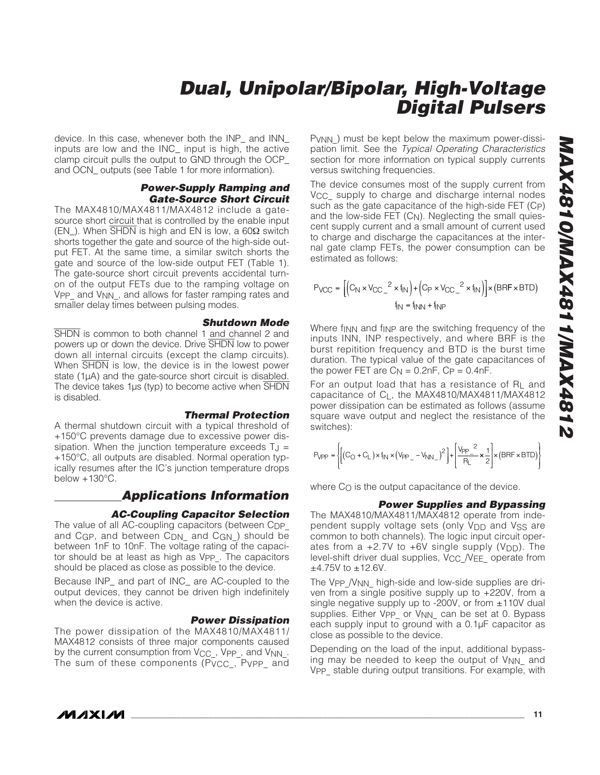device. In this case, whenever both the INP\_ and INN\_ inputs are low and the INC\_ input is high, the active clamp circuit pulls the output to GND through the OCP\_ and OCN outputs (see Table 1 for more information).

#### **Power-Supply Ramping and Gate-Source Short Circuit**

The MAX4810/MAX4811/MAX4812 include a gatesource short circuit that is controlled by the enable input (EN\_). When SHDN is high and EN is low, a 60 $Ω$  switch shorts together the gate and source of the high-side output FET. At the same time, a similar switch shorts the gate and source of the low-side output FET (Table 1). The gate-source short circuit prevents accidental turnon of the output FETs due to the ramping voltage on V<sub>PP</sub> and V<sub>NN</sub>, and allows for faster ramping rates and smaller delay times between pulsing modes.

#### **Shutdown Mode**

SHDN is common to both channel 1 and channel 2 and powers up or down the device. Drive SHDN low to power down all internal circuits (except the clamp circuits). When  $\overline{\text{SHDN}}$  is low, the device is in the lowest power state (1µA) and the gate-source short circuit is disabled. The device takes  $1\mu s$  (typ) to become active when  $\overline{SHDN}$ is disabled.

#### **Thermal Protection**

A thermal shutdown circuit with a typical threshold of +150°C prevents damage due to excessive power dissipation. When the junction temperature exceeds  $T_J =$ +150°C, all outputs are disabled. Normal operation typically resumes after the IC's junction temperature drops below +130°C.

#### **Applications Information**

#### **AC-Coupling Capacitor Selection**

The value of all AC-coupling capacitors (between C<sub>DP</sub> and CGP, and between C<sub>DN</sub> and CGN ) should be between 1nF to 10nF. The voltage rating of the capacitor should be at least as high as V<sub>PP</sub>. The capacitors should be placed as close as possible to the device.

Because INP\_ and part of INC\_ are AC-coupled to the output devices, they cannot be driven high indefinitely when the device is active.

#### **Power Dissipation**

The power dissipation of the MAX4810/MAX4811/ MAX4812 consists of three major components caused by the current consumption from V<sub>CC\_</sub>, V<sub>PP\_</sub>, and V<sub>NN\_</sub>. The sum of these components (Pvcc, Pvpp\_ and

P<sub>VNN</sub>) must be kept below the maximum power-dissipation limit. See the Typical Operating Characteristics section for more information on typical supply currents versus switching frequencies.

The device consumes most of the supply current from V<sub>CC</sub> supply to charge and discharge internal nodes such as the gate capacitance of the high-side FET (C P ) and the low-side FET (C N). Neglecting the small quiescent supply current and a small amount of current used to charge and discharge the capacitances at the internal gate clamp FETs, the power consumption can be estimated as follows:

$$
P_{VCC} = \left[ \left( C_N \times V_{CC} \right)^2 \times f_{IN} \right) + \left( C_P \times V_{CC} \right)^2 \times f_{IN} \right] \times (BRF \times BTD)
$$
  

$$
f_{IN} = f_{INN} + f_{INP}
$$

Where finn and finp are the switching frequency of the inputs INN, INP respectively, and where BRF is the burst repitition frequency and BTD is the burst time duration. The typical value of the gate capacitances of the power FET are  $C_N = 0.2$ nF,  $C_P = 0.4$ nF.

For an output load that has a resistance of R L and capacitance of C L, the MAX4810/MAX4811/MAX4812 power dissipation can be estimated as follows (assume square wave output and neglect the resistance of the switches):

$$
P_{\text{VPP}} = \left\{ \left[ \left( C_O + C_L \right) \times i_{\text{N}} \times \left( V_{\text{PP}}_- - V_{\text{NN}}_- \right)^2 \right] + \left[ \frac{V_{\text{PP}}_-{}^2}{P_L} \times \frac{1}{2} \right] \times \left( \text{BRF} \times \text{BTD} \right) \right\}
$$

where C O is the output capacitance of the device.

#### **Power Supplies and Bypassing**

The MAX4810/MAX4811/MAX4812 operate from independent supply voltage sets (only V<sub>DD</sub> and V<sub>SS</sub> are common to both channels). The logic input circuit operates from a  $+2.7V$  to  $+6V$  single supply ( $V_{\text{DD}}$ ). The level-shift driver dual supplies, V<sub>CC</sub> /VEE operate from  $±4.75V$  to  $±12.6V$ . P/PP =  $\left\{ \left[ (C_0 + C_L) \times i_{N} \times (\forall p_2 - \forall_{N} N_2)^2 \right] + \left[ \frac{\forall p_2 - \checkmark} {R_L} \times \frac{1}{2} \right] \times (BRF \times BTD) \right\}$ <br>
Where Co is the output capacitance of the device.<br> **Power Supplies and Bypassing**<br>
The MAX4810/MAX4811/MAX4812 operate fro

The V<sub>PP</sub> /V<sub>NN</sub> high-side and low-side supplies are driven from a single positive supply up to +220V, from a single negative supply up to -200V, or from  $\pm 110V$  dual supplies. Either Vpp\_ or V<sub>NN</sub>\_ can be set at 0. Bypass each supply input to ground with a 0.1µF capacitor as close as possible to the device.

Depending on the load of the input, additional bypassing may be needed to keep the output of V<sub>NN\_</sub> and V<sub>PP</sub> stable during output transitions. For example, with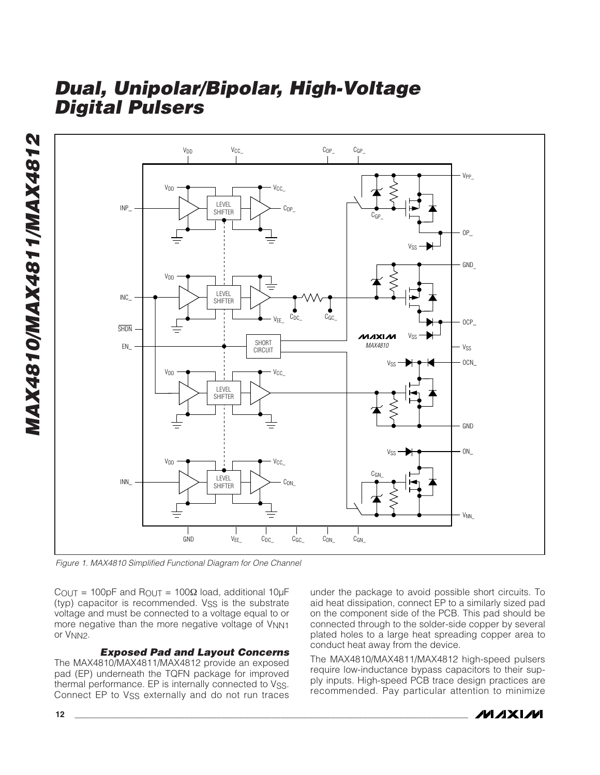

Figure 1. MAX4810 Simplified Functional Diagram for One Channel

**12 \_\_\_\_\_\_\_\_\_\_\_\_\_\_\_\_\_\_\_\_\_\_\_\_\_\_\_\_\_\_\_\_\_\_\_\_\_\_\_\_\_\_\_\_\_\_\_\_\_\_\_\_\_\_\_\_\_\_\_\_\_\_\_\_\_\_\_\_\_\_\_\_\_\_\_\_\_\_\_\_\_\_\_\_\_\_** COUT = 100pF and ROUT = 100<sup>Ω</sup> load, additional 10µF (typ) capacitor is recommended. VSS is the substrate voltage and must be connected to a voltage equal to or more negative than the more negative voltage of V<sub>NN1</sub> or VNN2 .

#### **Exposed Pad and Layout Concerns**

The MAX4810/MAX4811/MAX4812 provide an exposed pad (EP) underneath the TQFN package for improved thermal performance. EP is internally connected to Vss. Connect EP to V<sub>SS</sub> externally and do not run traces under the package to avoid possible short circuits. To aid heat dissipation, connect EP to a similarly sized pad on the component side of the PCB. This pad should be connected through to the solder-side copper by several plated holes to a large heat spreading copper area to conduct heat away from the device.

The MAX4810/MAX4811/MAX4812 high-speed pulsers require low-inductance bypass capacitors to their supply inputs. High-speed PCB trace design practices are recommended. Pay particular attention to minimize

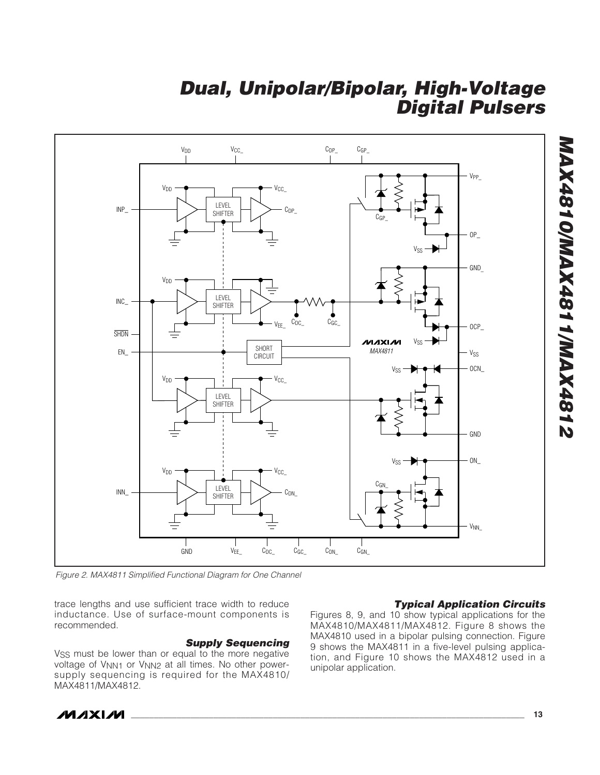

Figure 2. MAX4811 Simplified Functional Diagram for One Channel

trace lengths and use sufficient trace width to reduce inductance. Use of surface-mount components is recommended.

#### **Supply Sequencing**

V<sub>SS</sub> must be lower than or equal to the more negative voltage of V<sub>NN1</sub> or V<sub>NN2</sub> at all times. No other powersupply sequencing is required for the MAX4810/ MAX4811/MAX4812.

#### **Typical Application Circuits**

Figures 8, 9, and 10 show typical applications for the MAX4810/MAX4811/MAX4812. Figure 8 shows the MAX4810 used in a bipolar pulsing connection. Figure 9 shows the MAX4811 in a five-level pulsing application, and Figure 10 shows the MAX4812 used in a unipolar application.

**MAXM** 

**MAX4810/MAX4811/MAX4812**

**MAX4810/MAX4811/MAX4812**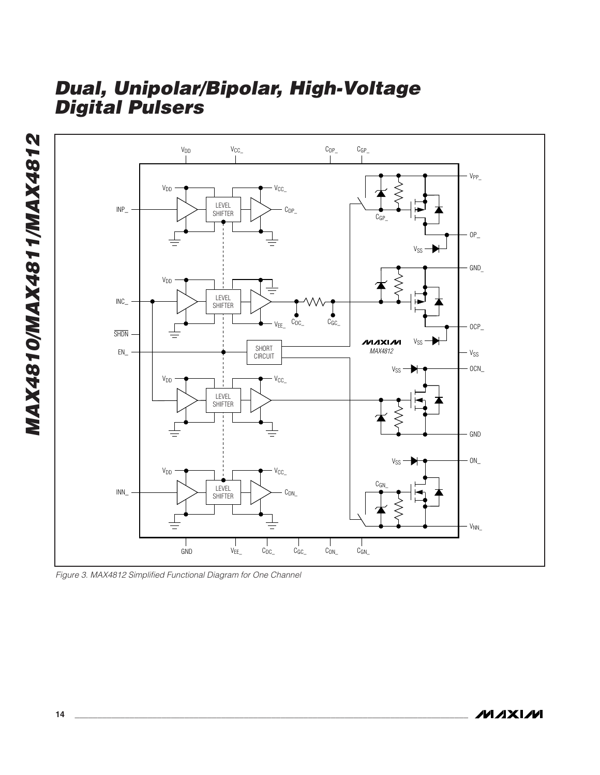

Figure 3. MAX4812 Simplified Functional Diagram for One Channel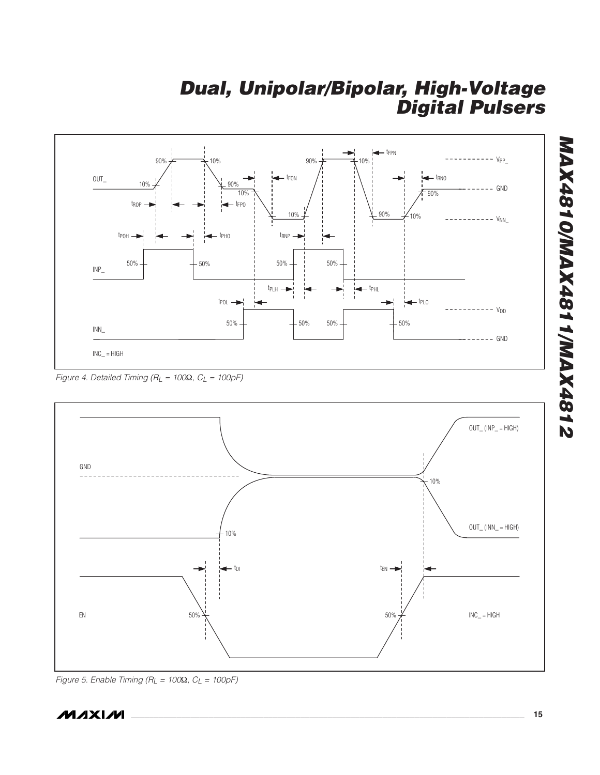

Figure 4. Detailed Timing ( $R_L = 100\Omega$ ,  $C_L = 100pF$ )



Figure 5. Enable Timing ( $R_L = 100\Omega$ ,  $C_L = 100pF$ )

**MAX4810/MAX4811/MAX4812**

**S184XAM\1184XAM\0184XAM**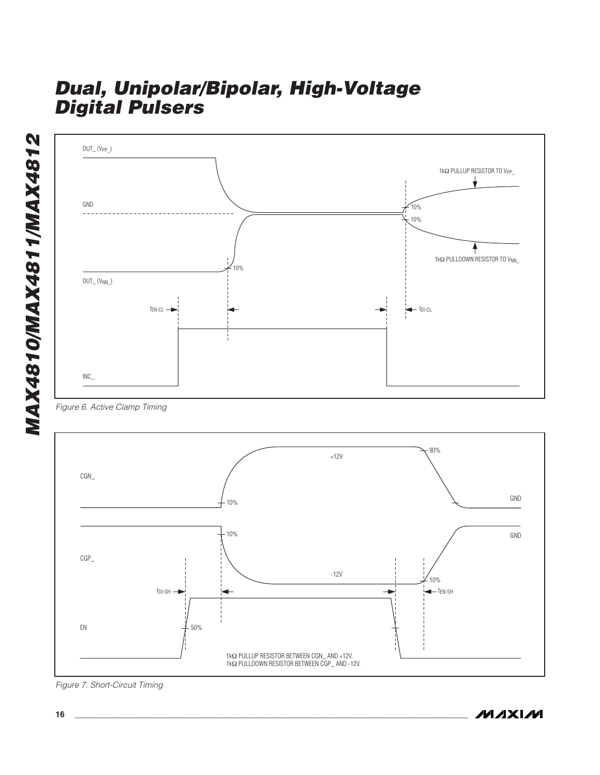







Figure 7. Short-Circuit Timing

**MAXIM**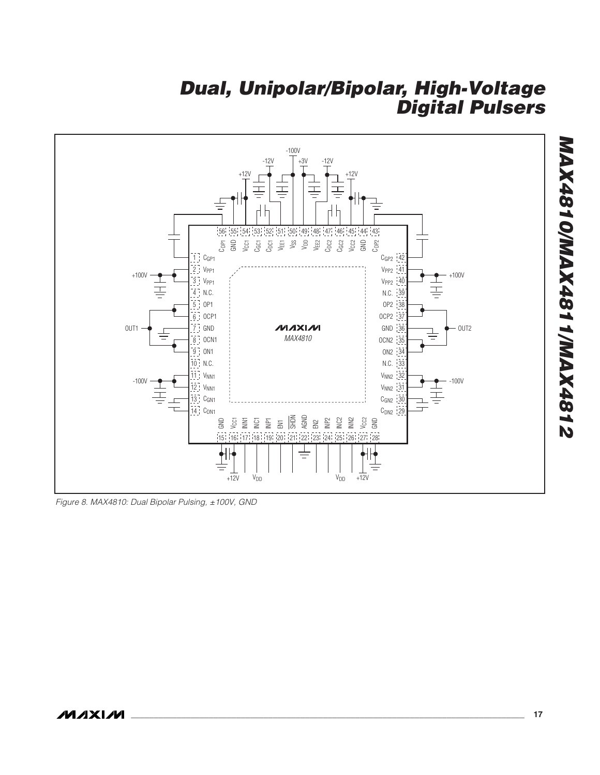

Figure 8. MAX4810: Dual Bipolar Pulsing, ±100V, GND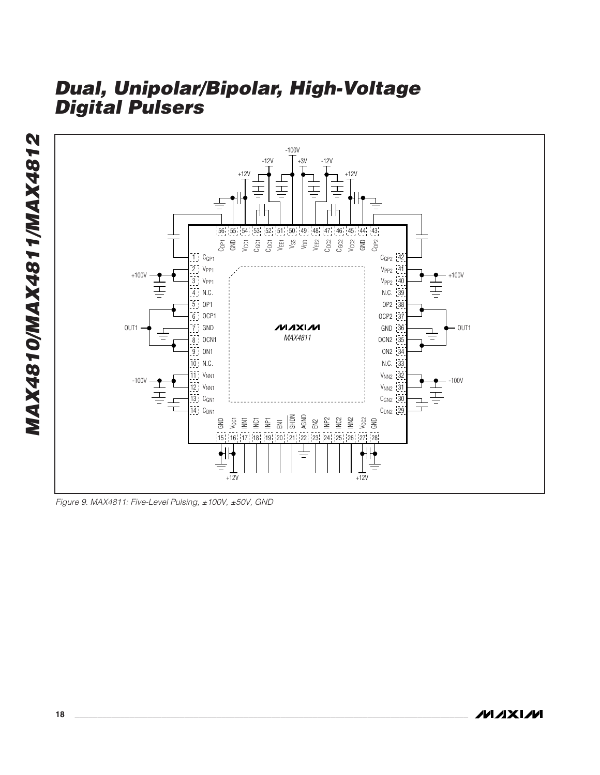

Figure 9. MAX4811: Five-Level Pulsing, ±100V, ±50V, GND

**MAXIM**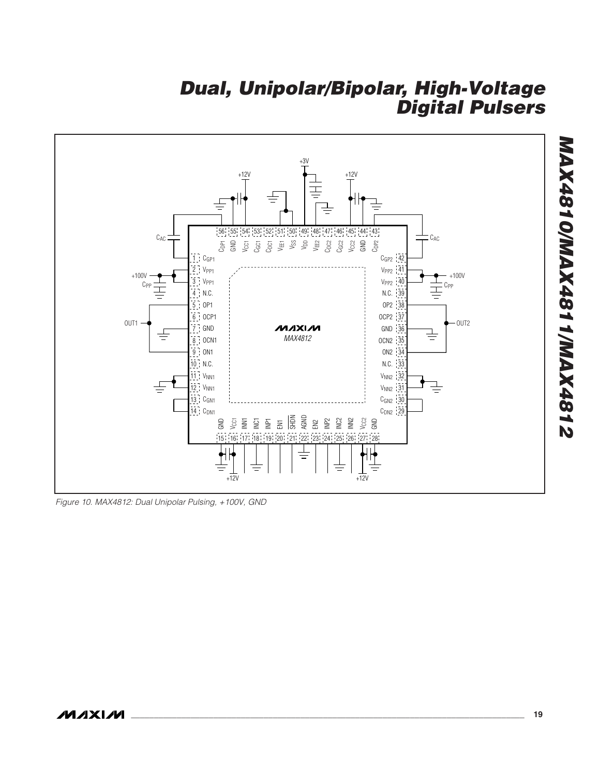

Figure 10. MAX4812: Dual Unipolar Pulsing, +100V, GND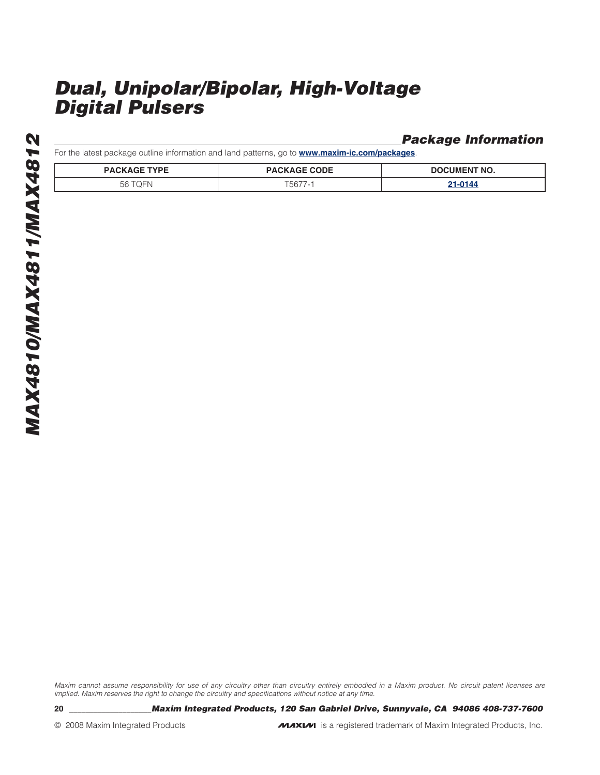**Package Information**

For the latest package outline information and land patterns, go to **www.maxim-ic.com/packages**.

| <b>PACKAGE TYPE</b> | <b>PACKAGE CODE</b> | <b>DOCUMENT NO.</b> |
|---------------------|---------------------|---------------------|
| 56.<br>u            | 56.                 | /014،               |

Maxim cannot assume responsibility for use of any circuitry other than circuitry entirely embodied in a Maxim product. No circuit patent licenses are implied. Maxim reserves the right to change the circuitry and specifications without notice at any time.

**20 \_\_\_\_\_\_\_\_\_\_\_\_\_\_\_\_\_\_\_\_Maxim Integrated Products, 120 San Gabriel Drive, Sunnyvale, CA 94086 408-737-7600**

© 2008 Maxim Integrated Products **inc. is a registered trademark of Maxim Integrated Products**, Inc.